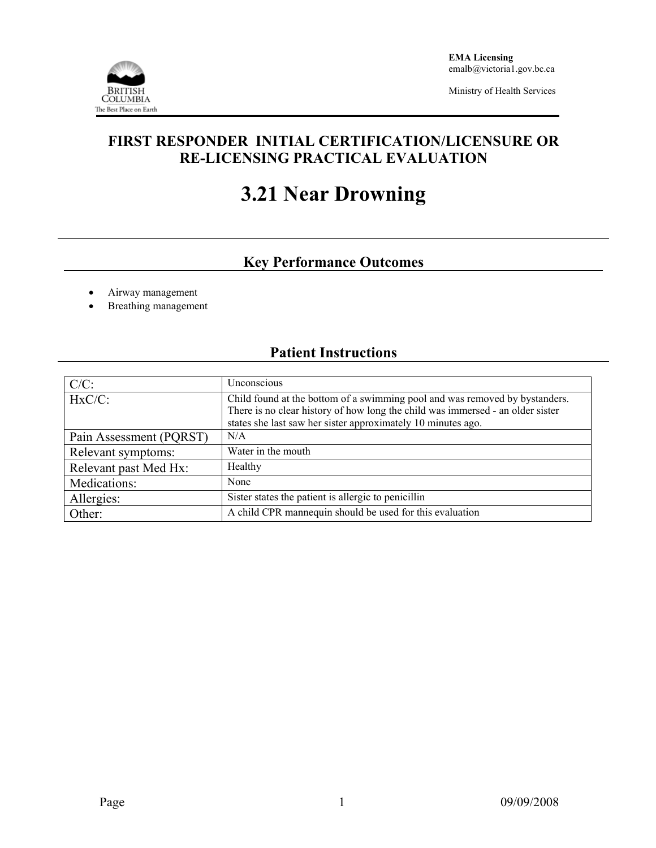

Ministry of Health Services

## **FIRST RESPONDER INITIAL CERTIFICATION/LICENSURE OR RE-LICENSING PRACTICAL EVALUATION**

# **3.21 Near Drowning**

# **Key Performance Outcomes**

- Airway management
- Breathing management

### **Patient Instructions**

| $C/C$ :                 | Unconscious                                                                                                                                                                                                                   |
|-------------------------|-------------------------------------------------------------------------------------------------------------------------------------------------------------------------------------------------------------------------------|
| $HxC/C$ :               | Child found at the bottom of a swimming pool and was removed by bystanders.<br>There is no clear history of how long the child was immersed - an older sister<br>states she last saw her sister approximately 10 minutes ago. |
| Pain Assessment (PQRST) | N/A                                                                                                                                                                                                                           |
| Relevant symptoms:      | Water in the mouth                                                                                                                                                                                                            |
| Relevant past Med Hx:   | Healthy                                                                                                                                                                                                                       |
| Medications:            | None                                                                                                                                                                                                                          |
| Allergies:              | Sister states the patient is allergic to penicillin                                                                                                                                                                           |
| Other:                  | A child CPR mannequin should be used for this evaluation                                                                                                                                                                      |